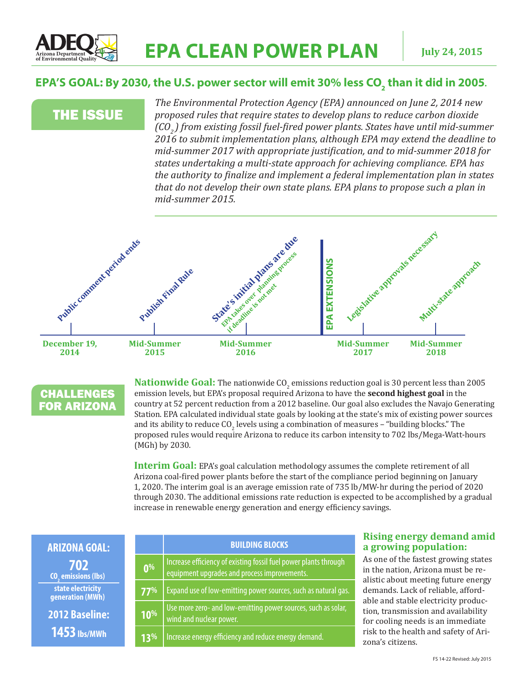

## EPA'S GOAL: By 2030, the U.S. power sector will emit 30% less CO<sub>2</sub> than it did in 2005.

# THE ISSUE

*The Environmental Protection Agency (EPA) announced on June 2, 2014 new proposed rules that require states to develop plans to reduce carbon dioxide (CO2 ) from existing fossil fuel-fired power plants. States have until mid-summer 2016 to submit implementation plans, although EPA may extend the deadline to mid-summer 2017 with appropriate justification, and to mid-summer 2018 for states undertaking a multi-state approach for achieving compliance. EPA has the authority to finalize and implement a federal implementation plan in states that do not develop their own state plans. EPA plans to propose such a plan in mid-summer 2015.*





**Nationwide Goal:** The nationwide  $CO<sub>2</sub>$  emissions reduction goal is 30 percent less than 2005 emission levels, but EPA's proposal required Arizona to have the **second highest goal** in the country at 52 percent reduction from a 2012 baseline. Our goal also excludes the Navajo Generating Station. EPA calculated individual state goals by looking at the state's mix of existing power sources and its ability to reduce  $\mathsf{CO}_2$  levels using a combination of measures – "building blocks." The proposed rules would require Arizona to reduce its carbon intensity to 702 lbs/Mega-Watt-hours (MGh) by 2030.

**Interim Goal:** EPA's goal calculation methodology assumes the complete retirement of all Arizona coal-fired power plants before the start of the compliance period beginning on January 1, 2020. The interim goal is an average emission rate of 735 lb/MW-hr during the period of 2020 through 2030. The additional emissions rate reduction is expected to be accomplished by a gradual increase in renewable energy generation and energy efficiency savings.

| <b>ARIZONA GOAL:</b>                         |                 | <b>BUILDING BLOCKS</b>                                                                                           | <b>Rising energy demand amid</b><br>a growing population:                                                                                                                                                                                                                                                                               |
|----------------------------------------------|-----------------|------------------------------------------------------------------------------------------------------------------|-----------------------------------------------------------------------------------------------------------------------------------------------------------------------------------------------------------------------------------------------------------------------------------------------------------------------------------------|
| 702<br><b>CO<sub>.</sub></b> emissions (lbs) | 0 <sup>96</sup> | Increase efficiency of existing fossil fuel power plants through<br>equipment upgrades and process improvements. | As one of the fastest growing states<br>in the nation, Arizona must be re-<br>alistic about meeting future energy<br>demands. Lack of reliable, afford-<br>able and stable electricity produc-<br>tion, transmission and availability<br>for cooling needs is an immediate<br>risk to the health and safety of Ari-<br>zona's citizens. |
| state electricity<br>generation (MWh)        | 77%             | Expand use of low-emitting power sources, such as natural gas.                                                   |                                                                                                                                                                                                                                                                                                                                         |
| <b>2012 Baseline:</b><br>$1453$ lbs/MWh      | 10%             | Use more zero- and low-emitting power sources, such as solar,<br>wind and nuclear power.                         |                                                                                                                                                                                                                                                                                                                                         |
|                                              | 13%             | Increase energy efficiency and reduce energy demand.                                                             |                                                                                                                                                                                                                                                                                                                                         |